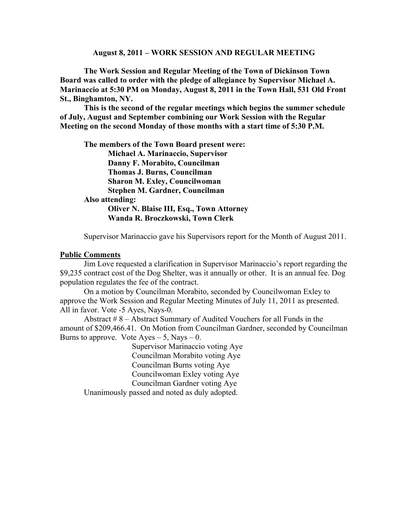#### **August 8, 2011 – WORK SESSION AND REGULAR MEETING**

**The Work Session and Regular Meeting of the Town of Dickinson Town Board was called to order with the pledge of allegiance by Supervisor Michael A. Marinaccio at 5:30 PM on Monday, August 8, 2011 in the Town Hall, 531 Old Front St., Binghamton, NY.**

**This is the second of the regular meetings which begins the summer schedule of July, August and September combining our Work Session with the Regular Meeting on the second Monday of those months with a start time of 5:30 P.M.**

**The members of the Town Board present were: Michael A. Marinaccio, Supervisor Danny F. Morabito, Councilman Thomas J. Burns, Councilman Sharon M. Exley, Councilwoman Stephen M. Gardner, Councilman Also attending: Oliver N. Blaise III, Esq., Town Attorney Wanda R. Broczkowski, Town Clerk** 

Supervisor Marinaccio gave his Supervisors report for the Month of August 2011.

#### **Public Comments**

Jim Love requested a clarification in Supervisor Marinaccio's report regarding the \$9,235 contract cost of the Dog Shelter, was it annually or other. It is an annual fee. Dog population regulates the fee of the contract.

On a motion by Councilman Morabito, seconded by Councilwoman Exley to approve the Work Session and Regular Meeting Minutes of July 11, 2011 as presented. All in favor. Vote -5 Ayes, Nays-0.

Abstract # 8 – Abstract Summary of Audited Vouchers for all Funds in the amount of \$209,466.41. On Motion from Councilman Gardner, seconded by Councilman Burns to approve. Vote  $Ayes - 5$ , Nays  $- 0$ .

> Supervisor Marinaccio voting Aye Councilman Morabito voting Aye Councilman Burns voting Aye Councilwoman Exley voting Aye Councilman Gardner voting Aye

Unanimously passed and noted as duly adopted.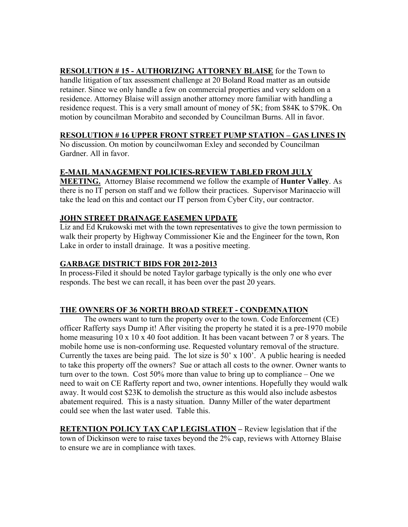**RESOLUTION # 15 - AUTHORIZING ATTORNEY BLAISE** for the Town to handle litigation of tax assessment challenge at 20 Boland Road matter as an outside retainer. Since we only handle a few on commercial properties and very seldom on a residence. Attorney Blaise will assign another attorney more familiar with handling a residence request. This is a very small amount of money of 5K; from \$84K to \$79K. On motion by councilman Morabito and seconded by Councilman Burns. All in favor.

### **RESOLUTION # 16 UPPER FRONT STREET PUMP STATION – GAS LINES IN**

No discussion. On motion by councilwoman Exley and seconded by Councilman Gardner. All in favor.

# **E-MAIL MANAGEMENT POLICIES-REVIEW TABLED FROM JULY**

**MEETING.** Attorney Blaise recommend we follow the example of **Hunter Valley**. As there is no IT person on staff and we follow their practices. Supervisor Marinaccio will take the lead on this and contact our IT person from Cyber City, our contractor.

# **JOHN STREET DRAINAGE EASEMEN UPDATE**

Liz and Ed Krukowski met with the town representatives to give the town permission to walk their property by Highway Commissioner Kie and the Engineer for the town, Ron Lake in order to install drainage. It was a positive meeting.

# **GARBAGE DISTRICT BIDS FOR 2012-2013**

In process-Filed it should be noted Taylor garbage typically is the only one who ever responds. The best we can recall, it has been over the past 20 years.

# **THE OWNERS OF 36 NORTH BROAD STREET - CONDEMNATION**

The owners want to turn the property over to the town. Code Enforcement (CE) officer Rafferty says Dump it! After visiting the property he stated it is a pre-1970 mobile home measuring 10 x 10 x 40 foot addition. It has been vacant between 7 or 8 years. The mobile home use is non-conforming use. Requested voluntary removal of the structure. Currently the taxes are being paid. The lot size is 50' x 100'. A public hearing is needed to take this property off the owners? Sue or attach all costs to the owner. Owner wants to turn over to the town. Cost  $50\%$  more than value to bring up to compliance – One we need to wait on CE Rafferty report and two, owner intentions. Hopefully they would walk away. It would cost \$23K to demolish the structure as this would also include asbestos abatement required. This is a nasty situation. Danny Miller of the water department could see when the last water used. Table this.

**RETENTION POLICY TAX CAP LEGISLATION –** Review legislation that if the town of Dickinson were to raise taxes beyond the 2% cap, reviews with Attorney Blaise to ensure we are in compliance with taxes.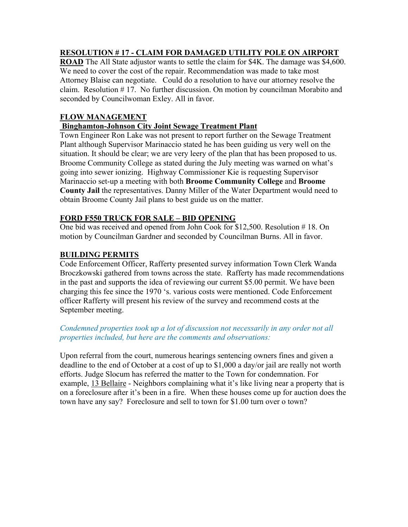# **RESOLUTION # 17 - CLAIM FOR DAMAGED UTILITY POLE ON AIRPORT**

**ROAD** The All State adjustor wants to settle the claim for \$4K. The damage was \$4,600. We need to cover the cost of the repair. Recommendation was made to take most Attorney Blaise can negotiate. Could do a resolution to have our attorney resolve the claim. Resolution # 17. No further discussion. On motion by councilman Morabito and seconded by Councilwoman Exley. All in favor.

# **FLOW MANAGEMENT**

### **Binghamton-Johnson City Joint Sewage Treatment Plant**

Town Engineer Ron Lake was not present to report further on the Sewage Treatment Plant although Supervisor Marinaccio stated he has been guiding us very well on the situation. It should be clear; we are very leery of the plan that has been proposed to us. Broome Community College as stated during the July meeting was warned on what's going into sewer ionizing. Highway Commissioner Kie is requesting Supervisor Marinaccio set-up a meeting with both **Broome Community College** and **Broome County Jail** the representatives. Danny Miller of the Water Department would need to obtain Broome County Jail plans to best guide us on the matter.

### **FORD F550 TRUCK FOR SALE – BID OPENING**

One bid was received and opened from John Cook for \$12,500. Resolution # 18. On motion by Councilman Gardner and seconded by Councilman Burns. All in favor.

### **BUILDING PERMITS**

Code Enforcement Officer, Rafferty presented survey information Town Clerk Wanda Broczkowski gathered from towns across the state. Rafferty has made recommendations in the past and supports the idea of reviewing our current \$5.00 permit. We have been charging this fee since the 1970 's. various costs were mentioned. Code Enforcement officer Rafferty will present his review of the survey and recommend costs at the September meeting.

### *Condemned properties took up a lot of discussion not necessarily in any order not all properties included, but here are the comments and observations:*

Upon referral from the court, numerous hearings sentencing owners fines and given a deadline to the end of October at a cost of up to \$1,000 a day/or jail are really not worth efforts. Judge Slocum has referred the matter to the Town for condemnation. For example, 13 Bellaire - Neighbors complaining what it's like living near a property that is on a foreclosure after it's been in a fire. When these houses come up for auction does the town have any say? Foreclosure and sell to town for \$1.00 turn over o town?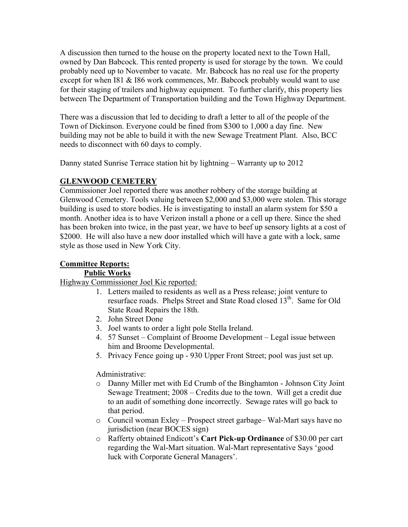A discussion then turned to the house on the property located next to the Town Hall, owned by Dan Babcock. This rented property is used for storage by the town. We could probably need up to November to vacate. Mr. Babcock has no real use for the property except for when I81 & I86 work commences, Mr. Babcock probably would want to use for their staging of trailers and highway equipment. To further clarify, this property lies between The Department of Transportation building and the Town Highway Department.

There was a discussion that led to deciding to draft a letter to all of the people of the Town of Dickinson. Everyone could be fined from \$300 to 1,000 a day fine. New building may not be able to build it with the new Sewage Treatment Plant. Also, BCC needs to disconnect with 60 days to comply.

Danny stated Sunrise Terrace station hit by lightning – Warranty up to 2012

# **GLENWOOD CEMETERY**

Commissioner Joel reported there was another robbery of the storage building at Glenwood Cemetery. Tools valuing between \$2,000 and \$3,000 were stolen. This storage building is used to store bodies. He is investigating to install an alarm system for \$50 a month. Another idea is to have Verizon install a phone or a cell up there. Since the shed has been broken into twice, in the past year, we have to beef up sensory lights at a cost of \$2000. He will also have a new door installed which will have a gate with a lock, same style as those used in New York City.

# **Committee Reports:**

### **Public Works**

Highway Commissioner Joel Kie reported:

- 1. Letters mailed to residents as well as a Press release; joint venture to resurface roads. Phelps Street and State Road closed 13<sup>th</sup>. Same for Old State Road Repairs the 18th.
- 2. John Street Done
- 3. Joel wants to order a light pole Stella Ireland.
- 4. 57 Sunset Complaint of Broome Development Legal issue between him and Broome Developmental.
- 5. Privacy Fence going up 930 Upper Front Street; pool was just set up.

Administrative:

- o Danny Miller met with Ed Crumb of the Binghamton Johnson City Joint Sewage Treatment; 2008 – Credits due to the town. Will get a credit due to an audit of something done incorrectly. Sewage rates will go back to that period.
- o Council woman Exley Prospect street garbage– Wal-Mart says have no jurisdiction (near BOCES sign)
- o Rafferty obtained Endicott's **Cart Pick-up Ordinance** of \$30.00 per cart regarding the Wal-Mart situation. Wal-Mart representative Says 'good luck with Corporate General Managers'.